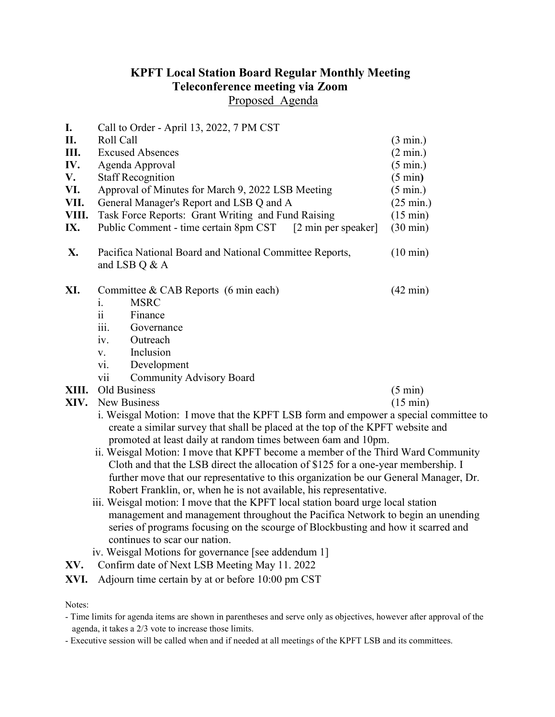## KPFT Local Station Board Regular Monthly Meeting Teleconference meeting via Zoom Proposed Agenda

I. Call to Order - April 13, 2022, 7 PM CST II. Roll Call (3 min.) III. Excused Absences (2 min.) IV. Agenda Approval (5 min.) V. Staff Recognition (5 min) VI. Approval of Minutes for March 9, 2022 LSB Meeting (5 min.) VII. General Manager's Report and LSB Q and A (25 min.) VIII. Task Force Reports: Grant Writing and Fund Raising (15 min) IX. Public Comment - time certain 8pm CST [2 min per speaker] (30 min) X. Pacifica National Board and National Committee Reports, (10 min) and LSB Q & A XI. Committee & CAB Reports (6 min each) (42 min) i. MSRC ii Finance iii. Governance iv. Outreach v. Inclusion vi. Development vii Community Advisory Board XIII. Old Business (5 min) XIV. New Business (15 min) i. Weisgal Motion: I move that the KPFT LSB form and empower a special committee to create a similar survey that shall be placed at the top of the KPFT website and promoted at least daily at random times between 6am and 10pm. ii. Weisgal Motion: I move that KPFT become a member of the Third Ward Community Cloth and that the LSB direct the allocation of \$125 for a one-year membership. I further move that our representative to this organization be our General Manager, Dr. Robert Franklin, or, when he is not available, his representative. iii. Weisgal motion: I move that the KPFT local station board urge local station management and management throughout the Pacifica Network to begin an unending series of programs focusing on the scourge of Blockbusting and how it scarred and continues to scar our nation.

iv. Weisgal Motions for governance [see addendum 1]

XV. Confirm date of Next LSB Meeting May 11. 2022

XVI. Adjourn time certain by at or before 10:00 pm CST

Notes:

- Time limits for agenda items are shown in parentheses and serve only as objectives, however after approval of the agenda, it takes a 2/3 vote to increase those limits.
- Executive session will be called when and if needed at all meetings of the KPFT LSB and its committees.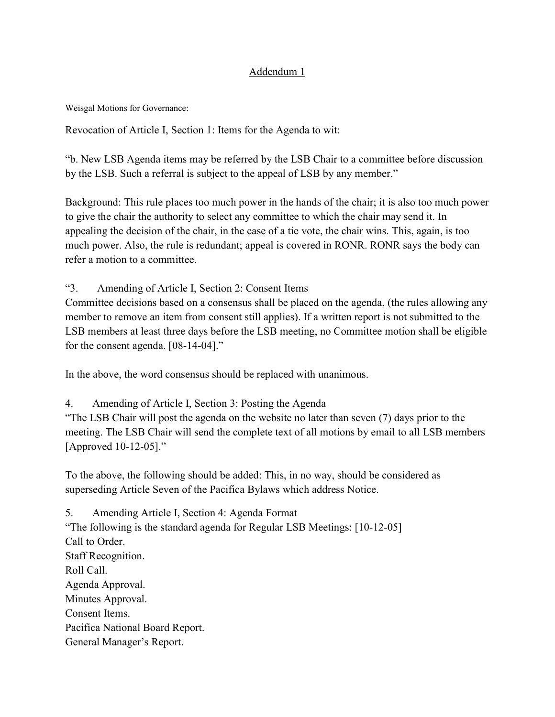## Addendum 1

Weisgal Motions for Governance:

Revocation of Article I, Section 1: Items for the Agenda to wit:

"b. New LSB Agenda items may be referred by the LSB Chair to a committee before discussion by the LSB. Such a referral is subject to the appeal of LSB by any member."

Background: This rule places too much power in the hands of the chair; it is also too much power to give the chair the authority to select any committee to which the chair may send it. In appealing the decision of the chair, in the case of a tie vote, the chair wins. This, again, is too much power. Also, the rule is redundant; appeal is covered in RONR. RONR says the body can refer a motion to a committee.

"3. Amending of Article I, Section 2: Consent Items

Committee decisions based on a consensus shall be placed on the agenda, (the rules allowing any member to remove an item from consent still applies). If a written report is not submitted to the LSB members at least three days before the LSB meeting, no Committee motion shall be eligible for the consent agenda. [08-14-04]."

In the above, the word consensus should be replaced with unanimous.

4. Amending of Article I, Section 3: Posting the Agenda

"The LSB Chair will post the agenda on the website no later than seven (7) days prior to the meeting. The LSB Chair will send the complete text of all motions by email to all LSB members [Approved 10-12-05]."

To the above, the following should be added: This, in no way, should be considered as superseding Article Seven of the Pacifica Bylaws which address Notice.

5. Amending Article I, Section 4: Agenda Format "The following is the standard agenda for Regular LSB Meetings: [10-12-05] Call to Order. Staff Recognition. Roll Call. Agenda Approval. Minutes Approval. Consent Items. Pacifica National Board Report. General Manager's Report.